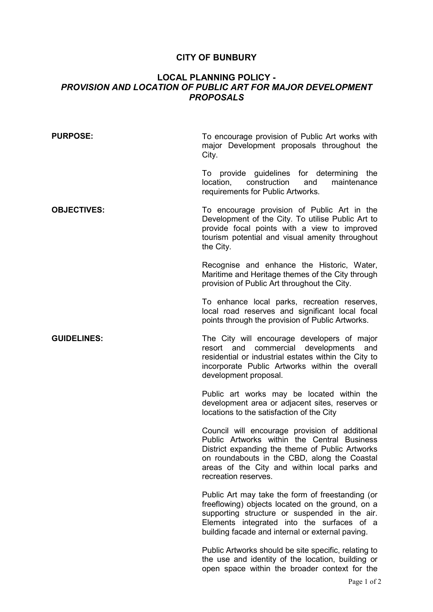## **CITY OF BUNBURY**

## **LOCAL PLANNING POLICY -**  *PROVISION AND LOCATION OF PUBLIC ART FOR MAJOR DEVELOPMENT PROPOSALS*

| <b>PURPOSE:</b>    | To encourage provision of Public Art works with<br>major Development proposals throughout the<br>City.                                                                                                                                                                   |
|--------------------|--------------------------------------------------------------------------------------------------------------------------------------------------------------------------------------------------------------------------------------------------------------------------|
|                    | To provide guidelines for determining<br>the<br>construction<br>maintenance<br>location,<br>and<br>requirements for Public Artworks.                                                                                                                                     |
| <b>OBJECTIVES:</b> | To encourage provision of Public Art in the<br>Development of the City. To utilise Public Art to<br>provide focal points with a view to improved<br>tourism potential and visual amenity throughout<br>the City.                                                         |
|                    | Recognise and enhance the Historic, Water,<br>Maritime and Heritage themes of the City through<br>provision of Public Art throughout the City.                                                                                                                           |
|                    | To enhance local parks, recreation reserves,<br>local road reserves and significant local focal<br>points through the provision of Public Artworks.                                                                                                                      |
| <b>GUIDELINES:</b> | The City will encourage developers of major<br>commercial developments<br>resort<br>and<br>and<br>residential or industrial estates within the City to<br>incorporate Public Artworks within the overall<br>development proposal.                                        |
|                    | Public art works may be located within the<br>development area or adjacent sites, reserves or<br>locations to the satisfaction of the City                                                                                                                               |
|                    | Council will encourage provision of additional<br>Public Artworks within the Central Business<br>District expanding the theme of Public Artworks<br>on roundabouts in the CBD, along the Coastal<br>areas of the City and within local parks and<br>recreation reserves. |
|                    | Public Art may take the form of freestanding (or<br>freeflowing) objects located on the ground, on a<br>supporting structure or suspended in the air.<br>Elements integrated into the surfaces of a<br>building facade and internal or external paving.                  |

Public Artworks should be site specific, relating to the use and identity of the location, building or open space within the broader context for the